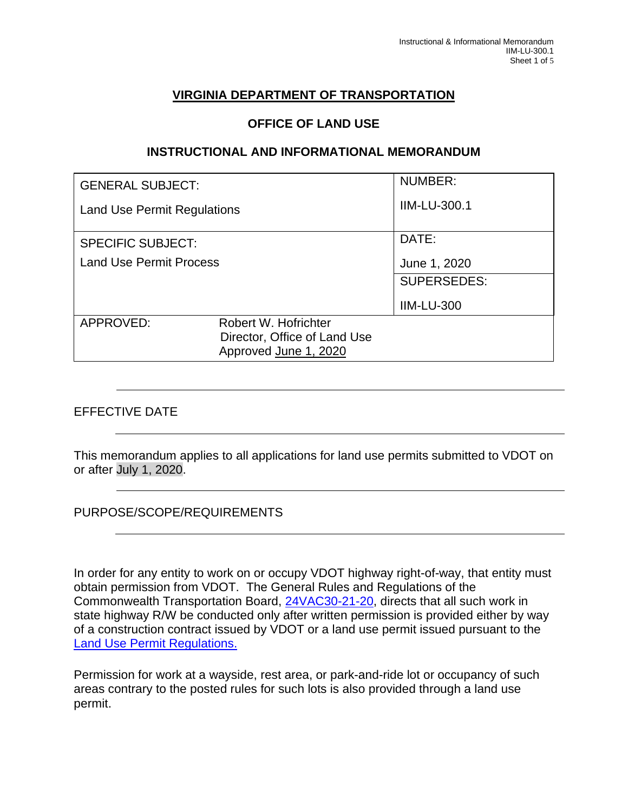# **VIRGINIA DEPARTMENT OF TRANSPORTATION**

#### **OFFICE OF LAND USE**

#### **INSTRUCTIONAL AND INFORMATIONAL MEMORANDUM**

| <b>GENERAL SUBJECT:</b>            |                              | NUMBER:             |
|------------------------------------|------------------------------|---------------------|
| <b>Land Use Permit Regulations</b> |                              | <b>IIM-LU-300.1</b> |
| <b>SPECIFIC SUBJECT:</b>           |                              | DATE:               |
| <b>Land Use Permit Process</b>     |                              | June 1, 2020        |
|                                    |                              | <b>SUPERSEDES:</b>  |
|                                    |                              | <b>IIM-LU-300</b>   |
| APPROVED:                          | Robert W. Hofrichter         |                     |
|                                    | Director, Office of Land Use |                     |
|                                    | Approved June 1, 2020        |                     |

### EFFECTIVE DATE

This memorandum applies to all applications for land use permits submitted to VDOT on or after July 1, 2020.

PURPOSE/SCOPE/REQUIREMENTS

In order for any entity to work on or occupy VDOT highway right-of-way, that entity must obtain permission from VDOT. The General Rules and Regulations of the Commonwealth Transportation Board, [24VAC30-21-20,](http://leg1.state.va.us/cgi-bin/legp504.exe?000+reg+24VAC30-21-20) directs that all such work in state highway R/W be conducted only after written permission is provided either by way of a construction contract issued by VDOT or a land use permit issued pursuant to the [Land Use Permit Regulations.](http://www.virginiadot.org/business/resources/land_use_regs/Land_Use_Permit_Regulation_3_17_10_33_2update.pdf)

Permission for work at a wayside, rest area, or park-and-ride lot or occupancy of such areas contrary to the posted rules for such lots is also provided through a land use permit.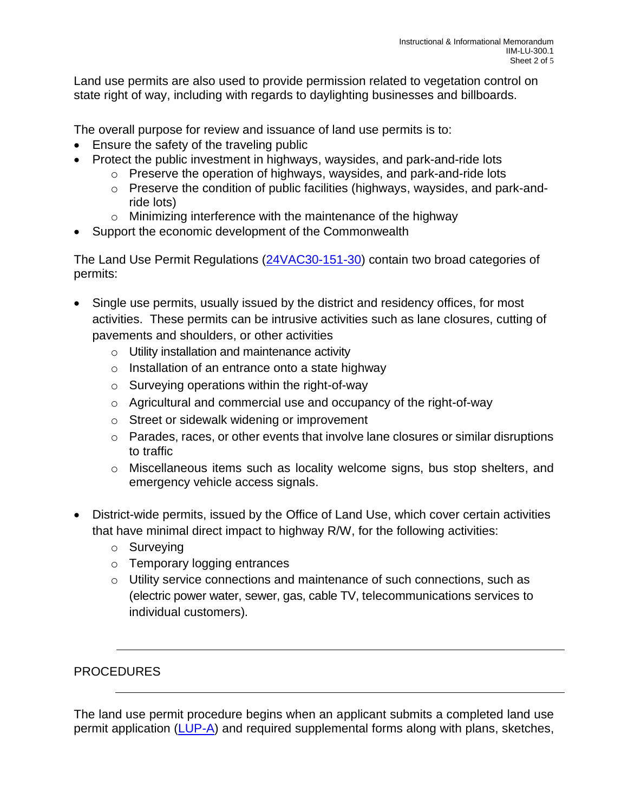Land use permits are also used to provide permission related to vegetation control on state right of way, including with regards to daylighting businesses and billboards.

The overall purpose for review and issuance of land use permits is to:

- Ensure the safety of the traveling public
- Protect the public investment in highways, waysides, and park-and-ride lots
	- o Preserve the operation of highways, waysides, and park-and-ride lots
	- o Preserve the condition of public facilities (highways, waysides, and park-andride lots)
	- o Minimizing interference with the maintenance of the highway
- Support the economic development of the Commonwealth

The Land Use Permit Regulations [\(24VAC30-151-30\)](https://law.lis.virginia.gov/admincode/title24/agency30/chapter151/section30/) contain two broad categories of permits:

- Single use permits, usually issued by the district and residency offices, for most activities. These permits can be intrusive activities such as lane closures, cutting of pavements and shoulders, or other activities
	- o Utility installation and maintenance activity
	- o Installation of an entrance onto a state highway
	- o Surveying operations within the right-of-way
	- o Agricultural and commercial use and occupancy of the right-of-way
	- o Street or sidewalk widening or improvement
	- $\circ$  Parades, races, or other events that involve lane closures or similar disruptions to traffic
	- o Miscellaneous items such as locality welcome signs, bus stop shelters, and emergency vehicle access signals.
- District-wide permits, issued by the Office of Land Use, which cover certain activities that have minimal direct impact to highway R/W, for the following activities:
	- o Surveying
	- o Temporary logging entrances
	- o Utility service connections and maintenance of such connections, such as (electric power water, sewer, gas, cable TV, telecommunications services to individual customers).

## PROCEDURES

The land use permit procedure begins when an applicant submits a completed land use permit application [\(LUP-A\)](http://www.virginiadot.org/business/resources/land_use_regs/LUP_A_Permit_Application.pdf) and required supplemental forms along with plans, sketches,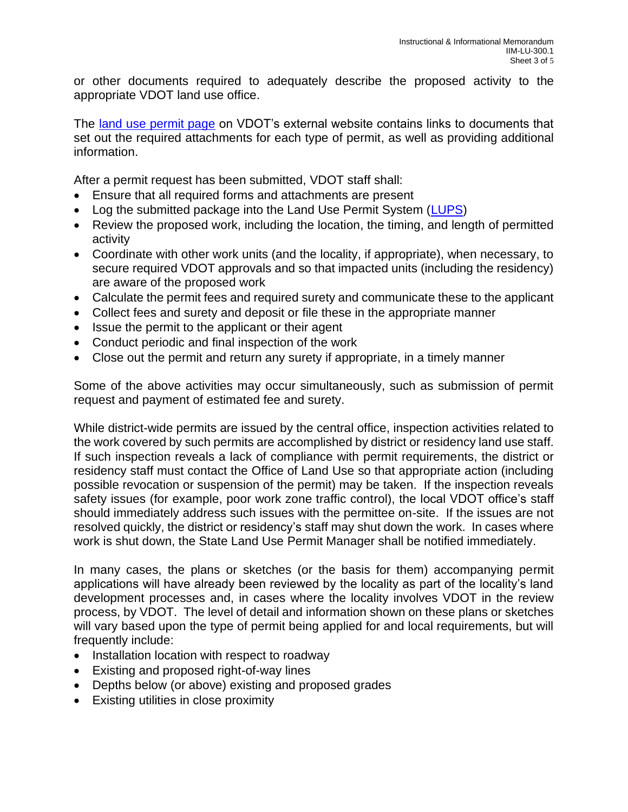or other documents required to adequately describe the proposed activity to the appropriate VDOT land use office.

The [land use permit page](http://www.virginiadot.org/business/bu-landUsePermits.asp) on VDOT's external website contains links to documents that set out the required attachments for each type of permit, as well as providing additional information.

After a permit request has been submitted, VDOT staff shall:

- Ensure that all required forms and attachments are present
- Log the submitted package into the Land Use Permit System [\(LUPS\)](http://lups/)
- Review the proposed work, including the location, the timing, and length of permitted activity
- Coordinate with other work units (and the locality, if appropriate), when necessary, to secure required VDOT approvals and so that impacted units (including the residency) are aware of the proposed work
- Calculate the permit fees and required surety and communicate these to the applicant
- Collect fees and surety and deposit or file these in the appropriate manner
- Issue the permit to the applicant or their agent
- Conduct periodic and final inspection of the work
- Close out the permit and return any surety if appropriate, in a timely manner

Some of the above activities may occur simultaneously, such as submission of permit request and payment of estimated fee and surety.

While district-wide permits are issued by the central office, inspection activities related to the work covered by such permits are accomplished by district or residency land use staff. If such inspection reveals a lack of compliance with permit requirements, the district or residency staff must contact the Office of Land Use so that appropriate action (including possible revocation or suspension of the permit) may be taken. If the inspection reveals safety issues (for example, poor work zone traffic control), the local VDOT office's staff should immediately address such issues with the permittee on-site. If the issues are not resolved quickly, the district or residency's staff may shut down the work. In cases where work is shut down, the State Land Use Permit Manager shall be notified immediately.

In many cases, the plans or sketches (or the basis for them) accompanying permit applications will have already been reviewed by the locality as part of the locality's land development processes and, in cases where the locality involves VDOT in the review process, by VDOT. The level of detail and information shown on these plans or sketches will vary based upon the type of permit being applied for and local requirements, but will frequently include:

- Installation location with respect to roadway
- Existing and proposed right-of-way lines
- Depths below (or above) existing and proposed grades
- Existing utilities in close proximity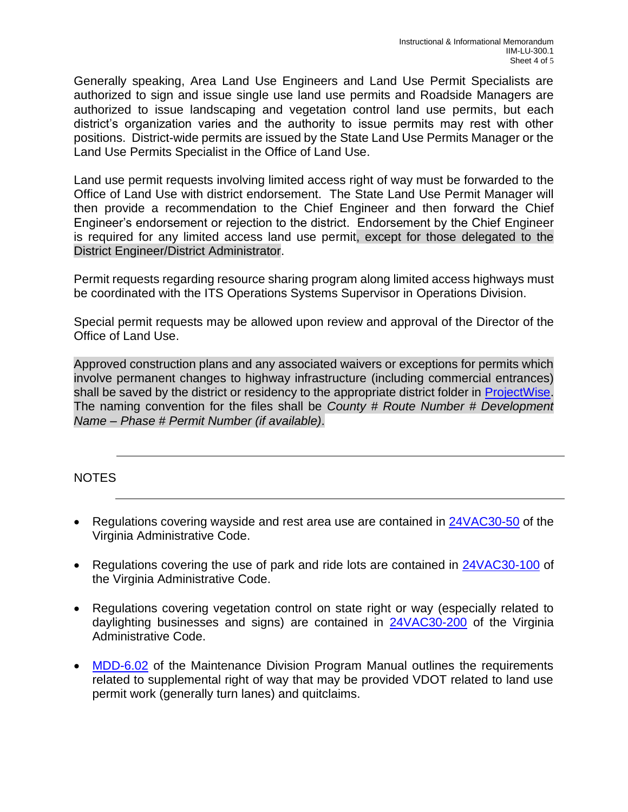Generally speaking, Area Land Use Engineers and Land Use Permit Specialists are authorized to sign and issue single use land use permits and Roadside Managers are authorized to issue landscaping and vegetation control land use permits, but each district's organization varies and the authority to issue permits may rest with other positions. District-wide permits are issued by the State Land Use Permits Manager or the Land Use Permits Specialist in the Office of Land Use.

Land use permit requests involving limited access right of way must be forwarded to the Office of Land Use with district endorsement. The State Land Use Permit Manager will then provide a recommendation to the Chief Engineer and then forward the Chief Engineer's endorsement or rejection to the district. Endorsement by the Chief Engineer is required for any limited access land use permit, except for those delegated to the District Engineer/District Administrator.

Permit requests regarding resource sharing program along limited access highways must be coordinated with the ITS Operations Systems Supervisor in Operations Division.

Special permit requests may be allowed upon review and approval of the Director of the Office of Land Use.

Approved construction plans and any associated waivers or exceptions for permits which involve permanent changes to highway infrastructure (including commercial entrances) shall be saved by the district or residency to the appropriate district folder in [ProjectWise.](https://projectwise.vdot.virginia.gov/login.aspx) The naming convention for the files shall be *County # Route Number # Development Name – Phase # Permit Number (if available)*.

NOTES

- Regulations covering wayside and rest area use are contained in [24VAC30-50](https://law.lis.virginia.gov/admincode/title24/agency30/chapter50/section10/) of the Virginia Administrative Code.
- Regulations covering the use of park and ride lots are contained in [24VAC30-100](https://law.lis.virginia.gov/admincode/title24/agency30/chapter100/section10/) of the Virginia Administrative Code.
- Regulations covering vegetation control on state right or way (especially related to daylighting businesses and signs) are contained in [24VAC30-200](https://law.lis.virginia.gov/admincode/title24/agency30/chapter200/section20/) of the Virginia Administrative Code.
- [MDD-6.02](https://insidevdot.cov.virginia.gov/div/maint/MTNP/MPLG/Maintenance%20IIM/MDD6_02Rev1Appr.pdf) of the Maintenance Division Program Manual outlines the requirements related to supplemental right of way that may be provided VDOT related to land use permit work (generally turn lanes) and quitclaims.